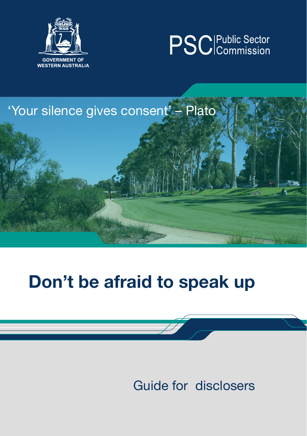





# Don't be afraid to speak up

Guide for disclosers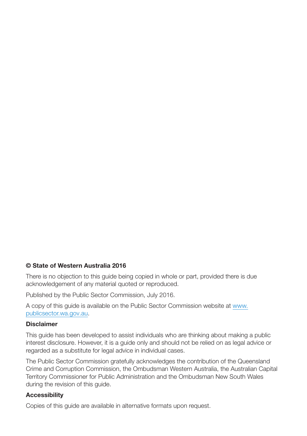#### © State of Western Australia 2016

There is no objection to this guide being copied in whole or part, provided there is due acknowledgement of any material quoted or reproduced.

Published by the Public Sector Commission, July 2016.

A copy of this guide is available on the Public Sector Commission website at www. publicsector.wa.gov.au.

#### Disclaimer

This guide has been developed to assist individuals who are thinking about making a public interest disclosure. However, it is a guide only and should not be relied on as legal advice or regarded as a substitute for legal advice in individual cases.

The Public Sector Commission gratefully acknowledges the contribution of the Queensland Crime and Corruption Commission, the Ombudsman Western Australia, the Australian Capital Territory Commissioner for Public Administration and the Ombudsman New South Wales during the revision of this guide.

#### **Accessibility**

Copies of this guide are available in alternative formats upon request.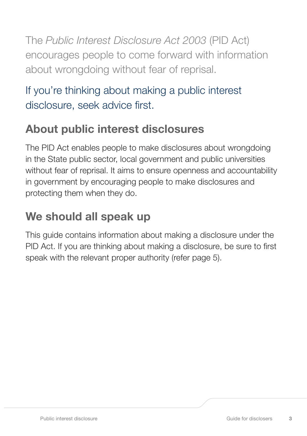The *Public Interest Disclosure Act 2003* (PID Act) encourages people to come forward with information about wrongdoing without fear of reprisal.

### If you're thinking about making a public interest disclosure, seek advice first.

### About public interest disclosures

The PID Act enables people to make disclosures about wrongdoing in the State public sector, local government and public universities without fear of reprisal. It aims to ensure openness and accountability in government by encouraging people to make disclosures and protecting them when they do.

# We should all speak up

This guide contains information about making a disclosure under the PID Act. If you are thinking about making a disclosure, be sure to first speak with the relevant proper authority (refer page 5).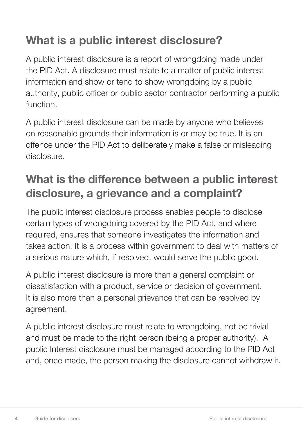# What is a public interest disclosure?

A public interest disclosure is a report of wrongdoing made under the PID Act. A disclosure must relate to a matter of public interest information and show or tend to show wrongdoing by a public authority, public officer or public sector contractor performing a public function.

A public interest disclosure can be made by anyone who believes on reasonable grounds their information is or may be true. It is an offence under the PID Act to deliberately make a false or misleading disclosure.

# What is the difference between a public interest disclosure, a grievance and a complaint?

The public interest disclosure process enables people to disclose certain types of wrongdoing covered by the PID Act, and where required, ensures that someone investigates the information and takes action. It is a process within government to deal with matters of a serious nature which, if resolved, would serve the public good.

A public interest disclosure is more than a general complaint or dissatisfaction with a product, service or decision of government. It is also more than a personal grievance that can be resolved by agreement.

A public interest disclosure must relate to wrongdoing, not be trivial and must be made to the right person (being a proper authority). A public Interest disclosure must be managed according to the PID Act and, once made, the person making the disclosure cannot withdraw it.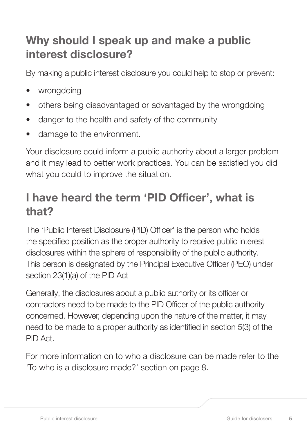### Why should I speak up and make a public interest disclosure?

By making a public interest disclosure you could help to stop or prevent:

- wronadoina
- others being disadvantaged or advantaged by the wrongdoing
- danger to the health and safety of the community
- damage to the environment.

Your disclosure could inform a public authority about a larger problem and it may lead to better work practices. You can be satisfied you did what you could to improve the situation.

### I have heard the term 'PID Officer', what is that?

The 'Public Interest Disclosure (PID) Officer' is the person who holds the specified position as the proper authority to receive public interest disclosures within the sphere of responsibility of the public authority. This person is designated by the Principal Executive Officer (PEO) under section 23(1)(a) of the PID Act

Generally, the disclosures about a public authority or its officer or contractors need to be made to the PID Officer of the public authority concerned. However, depending upon the nature of the matter, it may need to be made to a proper authority as identified in section 5(3) of the PID Act.

For more information on to who a disclosure can be made refer to the 'To who is a disclosure made?' section on page 8.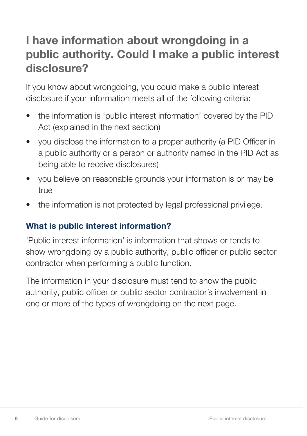### I have information about wrongdoing in a public authority. Could I make a public interest disclosure?

If you know about wrongdoing, you could make a public interest disclosure if your information meets all of the following criteria:

- the information is 'public interest information' covered by the PID Act (explained in the next section)
- you disclose the information to a proper authority (a PID Officer in a public authority or a person or authority named in the PID Act as being able to receive disclosures)
- you believe on reasonable grounds your information is or may be true
- the information is not protected by legal professional privilege.

#### What is public interest information?

'Public interest information' is information that shows or tends to show wrongdoing by a public authority, public officer or public sector contractor when performing a public function.

The information in your disclosure must tend to show the public authority, public officer or public sector contractor's involvement in one or more of the types of wrongdoing on the next page.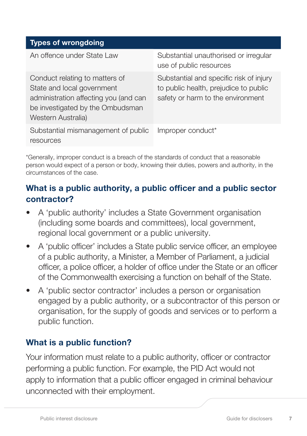| <b>Types of wrongdoing</b>                                                                                                                                      |                                                                                                                       |
|-----------------------------------------------------------------------------------------------------------------------------------------------------------------|-----------------------------------------------------------------------------------------------------------------------|
| An offence under State Law                                                                                                                                      | Substantial unauthorised or irregular<br>use of public resources                                                      |
| Conduct relating to matters of<br>State and local government<br>administration affecting you (and can<br>be investigated by the Ombudsman<br>Western Australia) | Substantial and specific risk of injury<br>to public health, prejudice to public<br>safety or harm to the environment |
| Substantial mismanagement of public<br>resources                                                                                                                | Improper conduct*                                                                                                     |

\*Generally, improper conduct is a breach of the standards of conduct that a reasonable person would expect of a person or body, knowing their duties, powers and authority, in the circumstances of the case.

### What is a public authority, a public officer and a public sector contractor?

- A 'public authority' includes a State Government organisation (including some boards and committees), local government, regional local government or a public university.
- A 'public officer' includes a State public service officer, an employee of a public authority, a Minister, a Member of Parliament, a judicial officer, a police officer, a holder of office under the State or an officer of the Commonwealth exercising a function on behalf of the State.
- A 'public sector contractor' includes a person or organisation engaged by a public authority, or a subcontractor of this person or organisation, for the supply of goods and services or to perform a public function.

### What is a public function?

Your information must relate to a public authority, officer or contractor performing a public function. For example, the PID Act would not apply to information that a public officer engaged in criminal behaviour unconnected with their employment.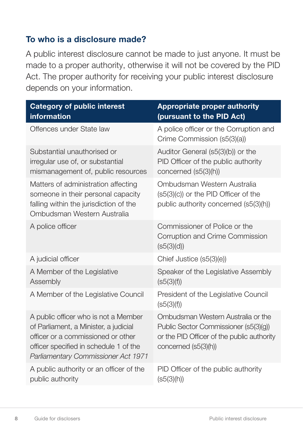#### To who is a disclosure made?

A public interest disclosure cannot be made to just anyone. It must be made to a proper authority, otherwise it will not be covered by the PID Act. The proper authority for receiving your public interest disclosure depends on your information.

| <b>Category of public interest</b><br>information                                                                                                                                                    | <b>Appropriate proper authority</b><br>(pursuant to the PID Act)                                                                                  |
|------------------------------------------------------------------------------------------------------------------------------------------------------------------------------------------------------|---------------------------------------------------------------------------------------------------------------------------------------------------|
| Offences under State law                                                                                                                                                                             | A police officer or the Corruption and<br>Crime Commission (s5(3)(a))                                                                             |
| Substantial unauthorised or<br>irregular use of, or substantial<br>mismanagement of, public resources                                                                                                | Auditor General (s5(3)(b)) or the<br>PID Officer of the public authority<br>concerned (s5(3)(h))                                                  |
| Matters of administration affecting<br>someone in their personal capacity<br>falling within the jurisdiction of the<br>Ombudsman Western Australia                                                   | Ombudsman Western Australia<br>(s5(3)(c)) or the PID Officer of the<br>public authority concerned (s5(3)(h))                                      |
| A police officer                                                                                                                                                                                     | Commissioner of Police or the<br>Corruption and Crime Commission<br>(s5(3)(d))                                                                    |
| A judicial officer                                                                                                                                                                                   | Chief Justice (s5(3)(e))                                                                                                                          |
| A Member of the Legislative<br>Assembly                                                                                                                                                              | Speaker of the Legislative Assembly<br>(s5(3)(f))                                                                                                 |
| A Member of the Legislative Council                                                                                                                                                                  | President of the Legislative Council<br>(s5(3)(f))                                                                                                |
| A public officer who is not a Member<br>of Parliament, a Minister, a judicial<br>officer or a commissioned or other<br>officer specified in schedule 1 of the<br>Parliamentary Commissioner Act 1971 | Ombudsman Western Australia or the<br>Public Sector Commissioner (s5(3)(g))<br>or the PID Officer of the public authority<br>concerned (s5(3)(h)) |
| A public authority or an officer of the<br>public authority                                                                                                                                          | PID Officer of the public authority<br>(s5(3)(h))                                                                                                 |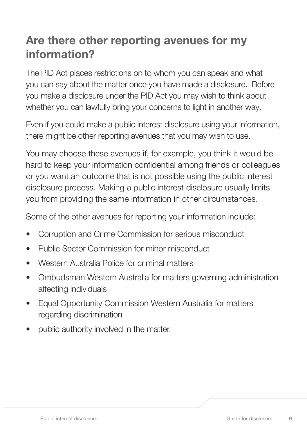### Are there other reporting avenues for my information?

The PID Act places restrictions on to whom you can speak and what you can say about the matter once you have made a disclosure. Before you make a disclosure under the PID Act you may wish to think about whether you can lawfully bring your concerns to light in another way.

Even if you could make a public interest disclosure using your information, there might be other reporting avenues that you may wish to use.

You may choose these avenues if, for example, you think it would be hard to keep your information confidential among friends or colleagues or you want an outcome that is not possible using the public interest disclosure process. Making a public interest disclosure usually limits you from providing the same information in other circumstances.

Some of the other avenues for reporting your information include:

- Corruption and Crime Commission for serious misconduct
- Public Sector Commission for minor misconduct
- Western Australia Police for criminal matters
- Ombudsman Western Australia for matters governing administration affecting individuals
- Equal Opportunity Commission Western Australia for matters regarding discrimination
- public authority involved in the matter.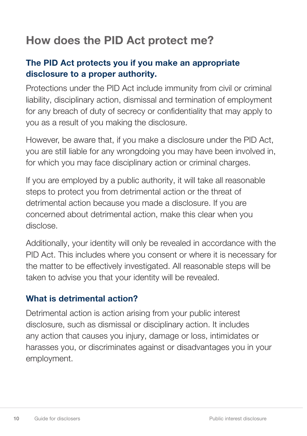### How does the PID Act protect me?

#### The PID Act protects you if you make an appropriate disclosure to a proper authority.

Protections under the PID Act include immunity from civil or criminal liability, disciplinary action, dismissal and termination of employment for any breach of duty of secrecy or confidentiality that may apply to you as a result of you making the disclosure.

However, be aware that, if you make a disclosure under the PID Act, you are still liable for any wrongdoing you may have been involved in, for which you may face disciplinary action or criminal charges.

If you are employed by a public authority, it will take all reasonable steps to protect you from detrimental action or the threat of detrimental action because you made a disclosure. If you are concerned about detrimental action, make this clear when you disclose.

Additionally, your identity will only be revealed in accordance with the PID Act. This includes where you consent or where it is necessary for the matter to be effectively investigated. All reasonable steps will be taken to advise you that your identity will be revealed.

#### What is detrimental action?

Detrimental action is action arising from your public interest disclosure, such as dismissal or disciplinary action. It includes any action that causes you injury, damage or loss, intimidates or harasses you, or discriminates against or disadvantages you in your employment.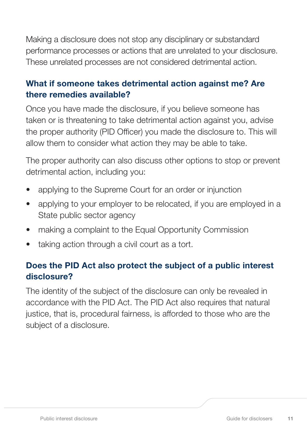Making a disclosure does not stop any disciplinary or substandard performance processes or actions that are unrelated to your disclosure. These unrelated processes are not considered detrimental action.

#### What if someone takes detrimental action against me? Are there remedies available?

Once you have made the disclosure, if you believe someone has taken or is threatening to take detrimental action against you, advise the proper authority (PID Officer) you made the disclosure to. This will allow them to consider what action they may be able to take.

The proper authority can also discuss other options to stop or prevent detrimental action, including you:

- applying to the Supreme Court for an order or injunction
- applying to your employer to be relocated, if you are employed in a State public sector agency
- making a complaint to the Equal Opportunity Commission
- taking action through a civil court as a tort.

### Does the PID Act also protect the subject of a public interest disclosure?

The identity of the subject of the disclosure can only be revealed in accordance with the PID Act. The PID Act also requires that natural justice, that is, procedural fairness, is afforded to those who are the subject of a disclosure.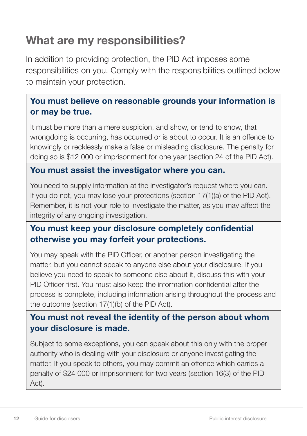### What are my responsibilities?

In addition to providing protection, the PID Act imposes some responsibilities on you. Comply with the responsibilities outlined below to maintain your protection.

#### You must believe on reasonable grounds your information is or may be true.

It must be more than a mere suspicion, and show, or tend to show, that wrongdoing is occurring, has occurred or is about to occur. It is an offence to knowingly or recklessly make a false or misleading disclosure. The penalty for doing so is \$12 000 or imprisonment for one year (section 24 of the PID Act).

#### You must assist the investigator where you can.

You need to supply information at the investigator's request where you can. If you do not, you may lose your protections (section 17(1)(a) of the PID Act). Remember, it is not your role to investigate the matter, as you may affect the integrity of any ongoing investigation.

#### You must keep your disclosure completely confidential otherwise you may forfeit your protections.

You may speak with the PID Officer, or another person investigating the matter, but you cannot speak to anyone else about your disclosure. If you believe you need to speak to someone else about it, discuss this with your PID Officer first. You must also keep the information confidential after the process is complete, including information arising throughout the process and the outcome (section 17(1)(b) of the PID Act).

#### You must not reveal the identity of the person about whom your disclosure is made.

Subject to some exceptions, you can speak about this only with the proper authority who is dealing with your disclosure or anyone investigating the matter. If you speak to others, you may commit an offence which carries a penalty of \$24 000 or imprisonment for two years (section 16(3) of the PID Act).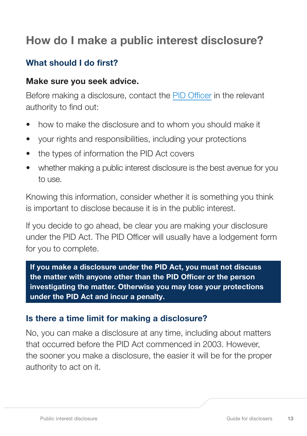### How do I make a public interest disclosure?

#### What should I do first?

#### Make sure you seek advice.

Before making a disclosure, contact the PID Officer in the relevant authority to find out:

- how to make the disclosure and to whom you should make it
- your rights and responsibilities, including your protections
- the types of information the PID Act covers
- whether making a public interest disclosure is the best avenue for you to use.

Knowing this information, consider whether it is something you think is important to disclose because it is in the public interest.

If you decide to go ahead, be clear you are making your disclosure under the PID Act. The PID Officer will usually have a lodgement form for you to complete.

If you make a disclosure under the PID Act, you must not discuss the matter with anyone other than the PID Officer or the person investigating the matter. Otherwise you may lose your protections under the PID Act and incur a penalty.

#### Is there a time limit for making a disclosure?

No, you can make a disclosure at any time, including about matters that occurred before the PID Act commenced in 2003. However, the sooner you make a disclosure, the easier it will be for the proper authority to act on it.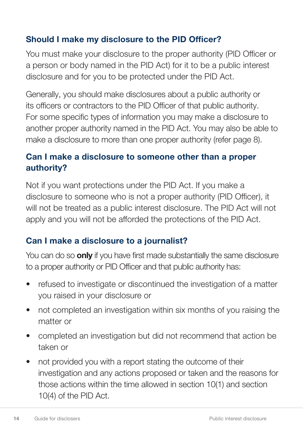### Should I make my disclosure to the PID Officer?

You must make your disclosure to the proper authority (PID Officer or a person or body named in the PID Act) for it to be a public interest disclosure and for you to be protected under the PID Act.

Generally, you should make disclosures about a public authority or its officers or contractors to the PID Officer of that public authority. For some specific types of information you may make a disclosure to another proper authority named in the PID Act. You may also be able to make a disclosure to more than one proper authority (refer page 8).

#### Can I make a disclosure to someone other than a proper authority?

Not if you want protections under the PID Act. If you make a disclosure to someone who is not a proper authority (PID Officer), it will not be treated as a public interest disclosure. The PID Act will not apply and you will not be afforded the protections of the PID Act.

### Can I make a disclosure to a journalist?

You can do so **only** if you have first made substantially the same disclosure to a proper authority or PID Officer and that public authority has:

- refused to investigate or discontinued the investigation of a matter you raised in your disclosure or
- not completed an investigation within six months of you raising the matter or
- completed an investigation but did not recommend that action be taken or
- not provided you with a report stating the outcome of their investigation and any actions proposed or taken and the reasons for those actions within the time allowed in section 10(1) and section 10(4) of the PID Act.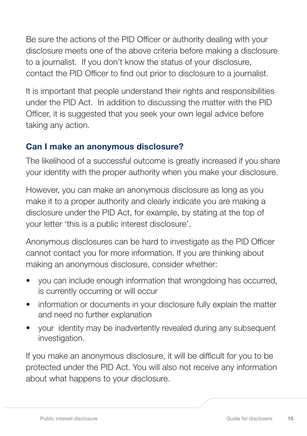Be sure the actions of the PID Officer or authority dealing with your disclosure meets one of the above criteria before making a disclosure to a journalist. If you don't know the status of your disclosure, contact the PID Officer to find out prior to disclosure to a journalist.

It is important that people understand their rights and responsibilities under the PID Act. In addition to discussing the matter with the PID Officer, it is suggested that you seek your own legal advice before taking any action.

#### Can I make an anonymous disclosure?

The likelihood of a successful outcome is greatly increased if you share your identity with the proper authority when you make your disclosure.

However, you can make an anonymous disclosure as long as you make it to a proper authority and clearly indicate you are making a disclosure under the PID Act, for example, by stating at the top of your letter 'this is a public interest disclosure'.

Anonymous disclosures can be hard to investigate as the PID Officer cannot contact you for more information. If you are thinking about making an anonymous disclosure, consider whether:

- you can include enough information that wrongdoing has occurred, is currently occurring or will occur
- information or documents in your disclosure fully explain the matter and need no further explanation
- your identity may be inadvertently revealed during any subsequent investigation.

If you make an anonymous disclosure, it will be difficult for you to be protected under the PID Act. You will also not receive any information about what happens to your disclosure.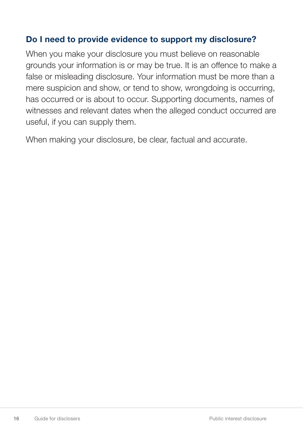#### Do I need to provide evidence to support my disclosure?

When you make your disclosure you must believe on reasonable grounds your information is or may be true. It is an offence to make a false or misleading disclosure. Your information must be more than a mere suspicion and show, or tend to show, wrongdoing is occurring, has occurred or is about to occur. Supporting documents, names of witnesses and relevant dates when the alleged conduct occurred are useful, if you can supply them.

When making your disclosure, be clear, factual and accurate.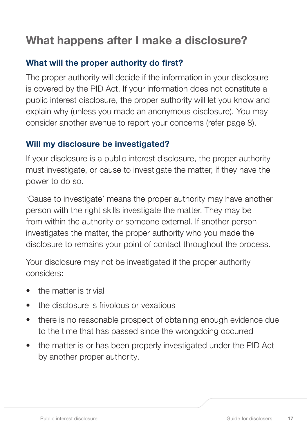### What happens after I make a disclosure?

#### What will the proper authority do first?

The proper authority will decide if the information in your disclosure is covered by the PID Act. If your information does not constitute a public interest disclosure, the proper authority will let you know and explain why (unless you made an anonymous disclosure). You may consider another avenue to report your concerns (refer page 8).

#### Will my disclosure be investigated?

If your disclosure is a public interest disclosure, the proper authority must investigate, or cause to investigate the matter, if they have the power to do so.

'Cause to investigate' means the proper authority may have another person with the right skills investigate the matter. They may be from within the authority or someone external. If another person investigates the matter, the proper authority who you made the disclosure to remains your point of contact throughout the process.

Your disclosure may not be investigated if the proper authority considers:

- the matter is trivial
- the disclosure is frivolous or vexatious
- there is no reasonable prospect of obtaining enough evidence due to the time that has passed since the wrongdoing occurred
- the matter is or has been properly investigated under the PID Act by another proper authority.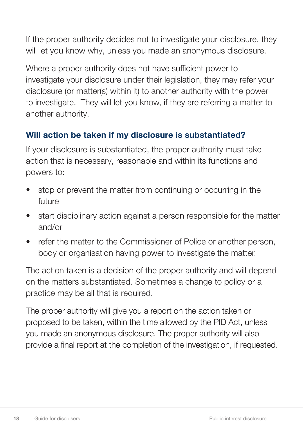If the proper authority decides not to investigate your disclosure, they will let you know why, unless you made an anonymous disclosure.

Where a proper authority does not have sufficient power to investigate your disclosure under their legislation, they may refer your disclosure (or matter(s) within it) to another authority with the power to investigate. They will let you know, if they are referring a matter to another authority.

#### Will action be taken if my disclosure is substantiated?

If your disclosure is substantiated, the proper authority must take action that is necessary, reasonable and within its functions and powers to:

- stop or prevent the matter from continuing or occurring in the future
- start disciplinary action against a person responsible for the matter and/or
- refer the matter to the Commissioner of Police or another person, body or organisation having power to investigate the matter.

The action taken is a decision of the proper authority and will depend on the matters substantiated. Sometimes a change to policy or a practice may be all that is required.

The proper authority will give you a report on the action taken or proposed to be taken, within the time allowed by the PID Act, unless you made an anonymous disclosure. The proper authority will also provide a final report at the completion of the investigation, if requested.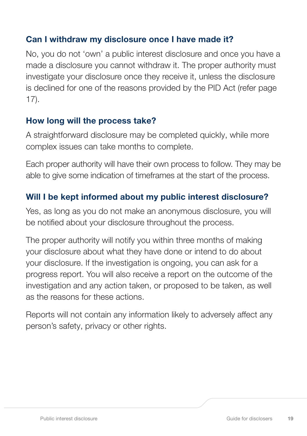#### Can I withdraw my disclosure once I have made it?

No, you do not 'own' a public interest disclosure and once you have a made a disclosure you cannot withdraw it. The proper authority must investigate your disclosure once they receive it, unless the disclosure is declined for one of the reasons provided by the PID Act (refer page 17).

#### How long will the process take?

A straightforward disclosure may be completed quickly, while more complex issues can take months to complete.

Each proper authority will have their own process to follow. They may be able to give some indication of timeframes at the start of the process.

#### Will I be kept informed about my public interest disclosure?

Yes, as long as you do not make an anonymous disclosure, you will be notified about your disclosure throughout the process.

The proper authority will notify you within three months of making your disclosure about what they have done or intend to do about your disclosure. If the investigation is ongoing, you can ask for a progress report. You will also receive a report on the outcome of the investigation and any action taken, or proposed to be taken, as well as the reasons for these actions.

Reports will not contain any information likely to adversely affect any person's safety, privacy or other rights.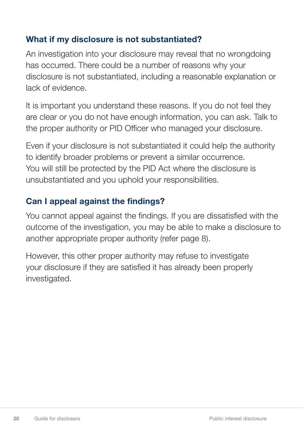#### What if my disclosure is not substantiated?

An investigation into your disclosure may reveal that no wrongdoing has occurred. There could be a number of reasons why your disclosure is not substantiated, including a reasonable explanation or lack of evidence.

It is important you understand these reasons. If you do not feel they are clear or you do not have enough information, you can ask. Talk to the proper authority or PID Officer who managed your disclosure.

Even if your disclosure is not substantiated it could help the authority to identify broader problems or prevent a similar occurrence. You will still be protected by the PID Act where the disclosure is unsubstantiated and you uphold your responsibilities.

### Can I appeal against the findings?

You cannot appeal against the findings. If you are dissatisfied with the outcome of the investigation, you may be able to make a disclosure to another appropriate proper authority (refer page 8).

However, this other proper authority may refuse to investigate your disclosure if they are satisfied it has already been properly investigated.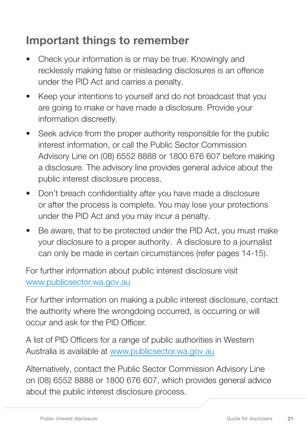### Important things to remember

- Check your information is or may be true. Knowingly and recklessly making false or misleading disclosures is an offence under the PID Act and carries a penalty.
- Keep your intentions to yourself and do not broadcast that you are going to make or have made a disclosure. Provide your information discreetly.
- Seek advice from the proper authority responsible for the public interest information, or call the Public Sector Commission Advisory Line on (08) 6552 8888 or 1800 676 607 before making a disclosure. The advisory line provides general advice about the public interest disclosure process.
- Don't breach confidentiality after you have made a disclosure or after the process is complete. You may lose your protections under the PID Act and you may incur a penalty.
- Be aware, that to be protected under the PID Act, you must make your disclosure to a proper authority. A disclosure to a journalist can only be made in certain circumstances (refer pages 14-15).

For further information about public interest disclosure visit www.publicsector.wa.gov.au

For further information on making a public interest disclosure, contact the authority where the wrongdoing occurred, is occurring or will occur and ask for the PID Officer.

A list of PID Officers for a range of public authorities in Western Australia is available at www.publicsector.wa.gov.au

Alternatively, contact the Public Sector Commission Advisory Line on (08) 6552 8888 or 1800 676 607, which provides general advice about the public interest disclosure process.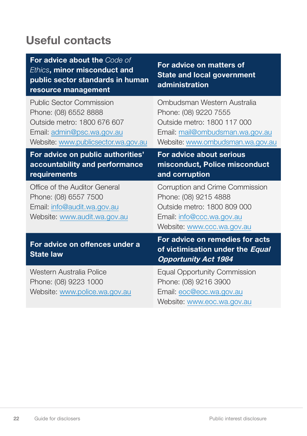### Useful contacts

| For advice about the Code of<br>Ethics, minor misconduct and<br>public sector standards in human<br>resource management                                      | For advice on matters of<br><b>State and local government</b><br>administration                                                                            |
|--------------------------------------------------------------------------------------------------------------------------------------------------------------|------------------------------------------------------------------------------------------------------------------------------------------------------------|
| <b>Public Sector Commission</b><br>Phone: (08) 6552 8888<br>Outside metro: 1800 676 607<br>Email: admin@psc.wa.gov.au<br>Website: www.publicsector.wa.gov.au | Ombudsman Western Australia<br>Phone: (08) 9220 7555<br>Outside metro: 1800 117 000<br>Email: mail@ombudsman.wa.gov.au<br>Website: www.ombudsman.wa.gov.au |
| For advice on public authorities'<br>accountability and performance<br>requirements                                                                          | For advice about serious<br>misconduct, Police misconduct<br>and corruption                                                                                |
| Office of the Auditor General<br>Phone: (08) 6557 7500<br>Email: info@audit.wa.gov.au<br>Website: www.audit.wa.gov.au                                        | Corruption and Crime Commission<br>Phone: (08) 9215 4888<br>Outside metro: 1800 809 000<br>Email: info@ccc.wa.gov.au<br>Website: www.ccc.wa.gov.au         |
| For advice on offences under a<br><b>State law</b>                                                                                                           | For advice on remedies for acts<br>of victimisation under the Equal<br><b>Opportunity Act 1984</b>                                                         |
| Western Australia Police<br>Phone: (08) 9223 1000<br>Website: www.police.wa.gov.au                                                                           | <b>Equal Opportunity Commission</b><br>Phone: (08) 9216 3900<br>Email: eoc@eoc.wa.gov.au<br>Website: www.eoc.wa.gov.au                                     |